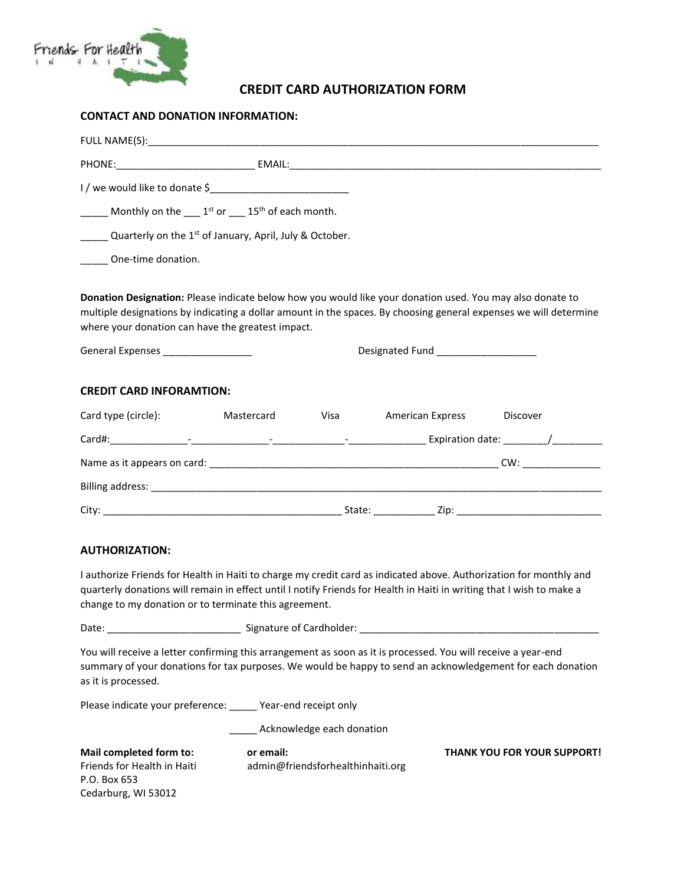

# **CREDIT CARD AUTHORIZATION FORM**

### **CONTACT AND DONATION INFORMATION:**

| Monthly on the $1st$ or $15th$ of each month.                                                                                                                                                                                                                                                                                                                     |  |  |
|-------------------------------------------------------------------------------------------------------------------------------------------------------------------------------------------------------------------------------------------------------------------------------------------------------------------------------------------------------------------|--|--|
| <b>Calcular CON</b> Cuarterly on the 1 <sup>st</sup> of January, April, July & October.                                                                                                                                                                                                                                                                           |  |  |
| One-time donation.                                                                                                                                                                                                                                                                                                                                                |  |  |
| Donation Designation: Please indicate below how you would like your donation used. You may also donate to<br>multiple designations by indicating a dollar amount in the spaces. By choosing general expenses we will determine<br>where your donation can have the greatest impact.<br>General Expenses _________________<br>Designated Fund ____________________ |  |  |
|                                                                                                                                                                                                                                                                                                                                                                   |  |  |

### **CREDIT CARD INFORAMTION:**

| Card type (circle):                                       | Mastercard               | Visa                     | <b>American Express</b> | Discover                                               |
|-----------------------------------------------------------|--------------------------|--------------------------|-------------------------|--------------------------------------------------------|
| Card#:<br>the contract of the contract of the contract of | $\overline{\phantom{a}}$ | $\overline{\phantom{a}}$ |                         | Expiration date: $\frac{1}{\frac{1}{2} + \frac{1}{2}}$ |
| Name as it appears on card:                               |                          |                          |                         | CW:                                                    |
|                                                           |                          |                          |                         |                                                        |
| City:                                                     |                          | State:                   | Zip:                    |                                                        |

### **AUTHORIZATION:**

I authorize Friends for Health in Haiti to charge my credit card as indicated above. Authorization for monthly and quarterly donations will remain in effect until I notify Friends for Health in Haiti in writing that I wish to make a change to my donation or to terminate this agreement.

| Date: | Signat |
|-------|--------|
|       |        |

**Date: \left(\) \left(\) \left(\)** Signature of Cardholder: \_\_\_\_\_\_\_\_\_\_\_\_\_\_\_\_\_\_\_\_\_\_\_\_\_\_

You will receive a letter confirming this arrangement as soon as it is processed. You will receive a year-end summary of your donations for tax purposes. We would be happy to send an acknowledgement for each donation as it is processed.

Please indicate your preference: \_\_\_\_\_ Year-end receipt only

\_\_\_\_\_\_ Acknowledge each donation

| Mail completed form to:     | or email:                         | <b>THANK YOU FOR YOUR SUPPORT!</b> |
|-----------------------------|-----------------------------------|------------------------------------|
| Friends for Health in Haiti | admin@friendsforhealthinhaiti.org |                                    |
| P.O. Box 653                |                                   |                                    |
| Cedarburg, WI 53012         |                                   |                                    |